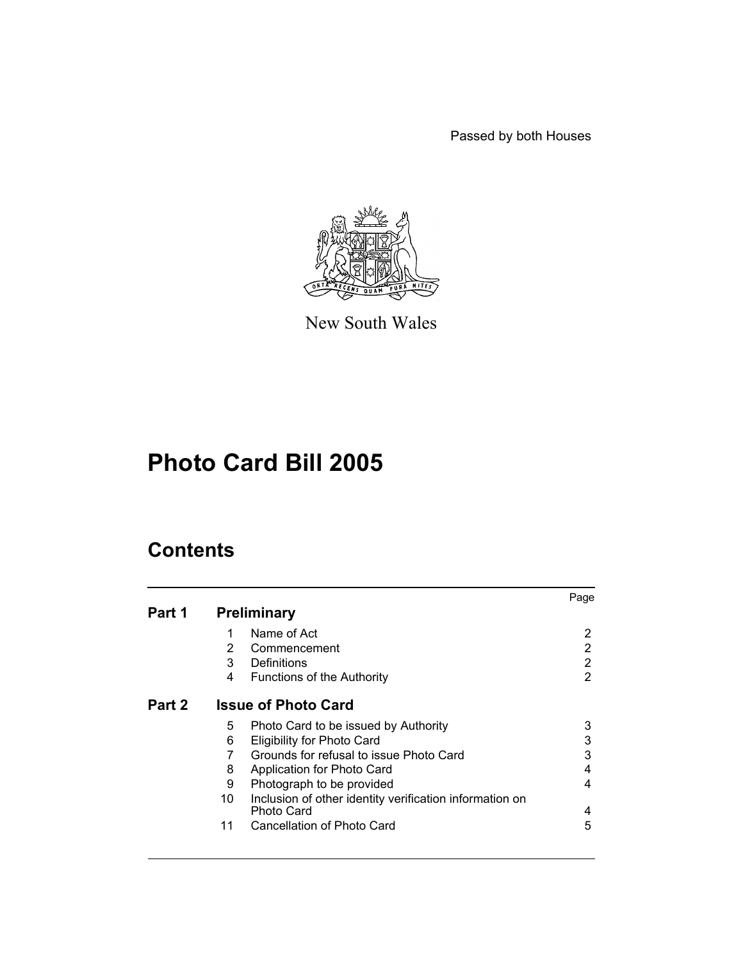Passed by both Houses



New South Wales

# **Photo Card Bill 2005**

# **Contents**

|        |                            |                                                                       | Page           |
|--------|----------------------------|-----------------------------------------------------------------------|----------------|
| Part 1 |                            | <b>Preliminary</b>                                                    |                |
|        | 1                          | Name of Act                                                           | 2              |
|        | 2                          | Commencement                                                          | 2              |
|        | 3                          | Definitions                                                           | $\overline{2}$ |
|        | 4                          | <b>Functions of the Authority</b>                                     | $\overline{2}$ |
| Part 2 | <b>Issue of Photo Card</b> |                                                                       |                |
|        | 5                          | Photo Card to be issued by Authority                                  | 3              |
|        | 6                          | <b>Eligibility for Photo Card</b>                                     | 3              |
|        | 7                          | Grounds for refusal to issue Photo Card                               | 3              |
|        | 8                          | Application for Photo Card                                            | 4              |
|        | 9                          | Photograph to be provided                                             | 4              |
|        | 10                         | Inclusion of other identity verification information on<br>Photo Card | 4              |
|        | 11                         | Cancellation of Photo Card                                            | 5              |
|        |                            |                                                                       |                |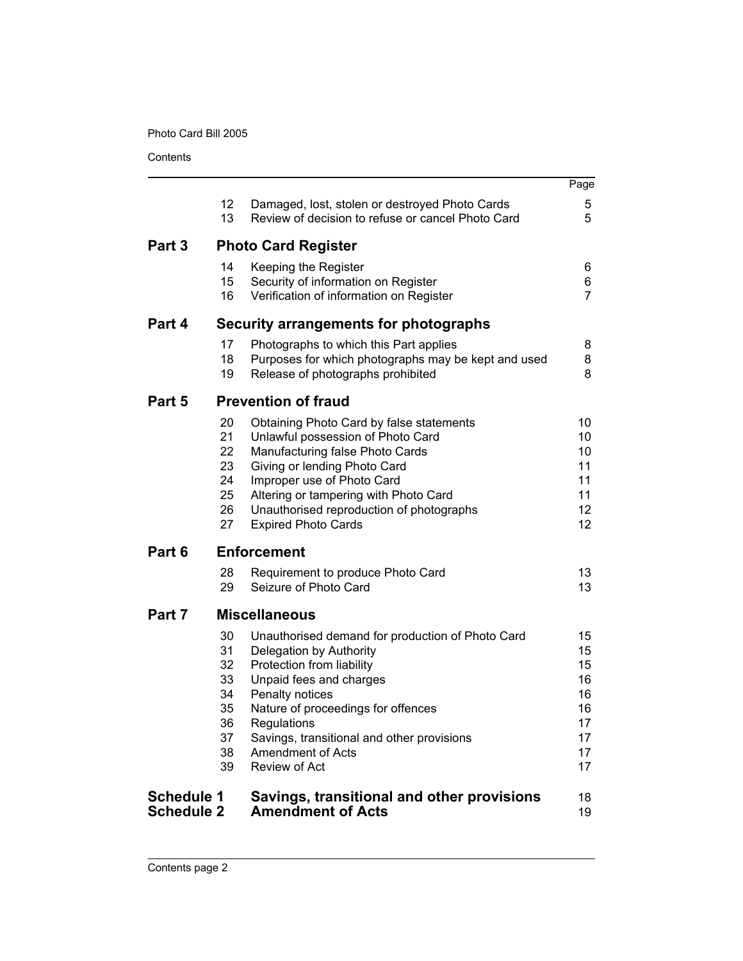**Contents** 

|                   |                            |                                                     | Page           |  |
|-------------------|----------------------------|-----------------------------------------------------|----------------|--|
|                   | 12                         | Damaged, lost, stolen or destroyed Photo Cards      | 5              |  |
|                   | 13                         | Review of decision to refuse or cancel Photo Card   | 5              |  |
| Part 3            | <b>Photo Card Register</b> |                                                     |                |  |
|                   | 14                         | Keeping the Register                                | 6              |  |
|                   | 15                         | Security of information on Register                 | 6              |  |
|                   | 16                         | Verification of information on Register             | $\overline{7}$ |  |
| Part 4            |                            | Security arrangements for photographs               |                |  |
|                   | 17                         | Photographs to which this Part applies              | 8              |  |
|                   | 18                         | Purposes for which photographs may be kept and used | 8              |  |
|                   | 19                         | Release of photographs prohibited                   | 8              |  |
| Part 5            |                            | <b>Prevention of fraud</b>                          |                |  |
|                   | 20                         | Obtaining Photo Card by false statements            | 10             |  |
|                   | 21                         | Unlawful possession of Photo Card                   | 10             |  |
|                   | 22                         | Manufacturing false Photo Cards                     | 10             |  |
|                   | 23                         | Giving or lending Photo Card                        | 11             |  |
|                   | 24                         | Improper use of Photo Card                          | 11             |  |
|                   | 25                         | Altering or tampering with Photo Card               | 11             |  |
|                   | 26                         | Unauthorised reproduction of photographs            | 12             |  |
|                   | 27                         | <b>Expired Photo Cards</b>                          | 12             |  |
| Part 6            |                            | <b>Enforcement</b>                                  |                |  |
|                   | 28                         | Requirement to produce Photo Card                   | 13             |  |
|                   | 29                         | Seizure of Photo Card                               | 13             |  |
| Part 7            |                            | <b>Miscellaneous</b>                                |                |  |
|                   | 30                         | Unauthorised demand for production of Photo Card    | 15             |  |
|                   | 31                         | Delegation by Authority                             | 15             |  |
|                   | 32                         | Protection from liability                           | 15             |  |
|                   | 33                         | Unpaid fees and charges                             | 16             |  |
|                   | 34                         | Penalty notices                                     | 16             |  |
|                   | 35                         | Nature of proceedings for offences                  | 16             |  |
|                   | 36                         | Regulations                                         | 17             |  |
|                   | 37                         | Savings, transitional and other provisions          | 17             |  |
|                   | 38                         | Amendment of Acts                                   | 17             |  |
|                   | 39                         | Review of Act                                       | 17             |  |
| <b>Schedule 1</b> |                            | Savings, transitional and other provisions          | 18             |  |
| <b>Schedule 2</b> |                            | <b>Amendment of Acts</b>                            | 19             |  |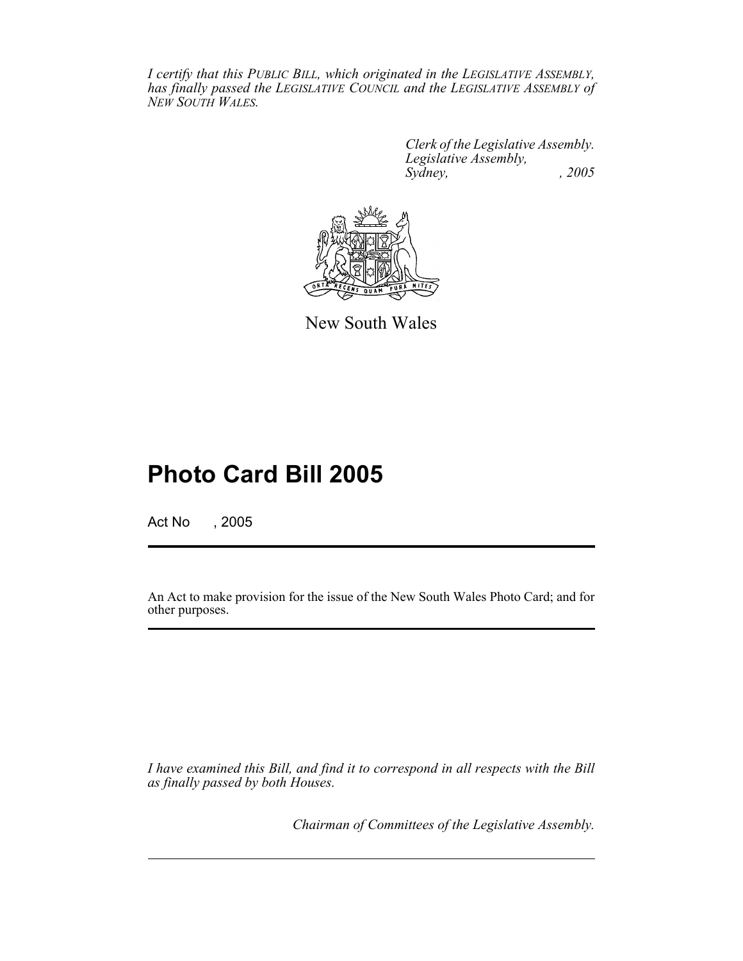*I certify that this PUBLIC BILL, which originated in the LEGISLATIVE ASSEMBLY, has finally passed the LEGISLATIVE COUNCIL and the LEGISLATIVE ASSEMBLY of NEW SOUTH WALES.*

> *Clerk of the Legislative Assembly. Legislative Assembly, Sydney, , 2005*



New South Wales

# **Photo Card Bill 2005**

Act No , 2005

An Act to make provision for the issue of the New South Wales Photo Card; and for other purposes.

*I have examined this Bill, and find it to correspond in all respects with the Bill as finally passed by both Houses.*

*Chairman of Committees of the Legislative Assembly.*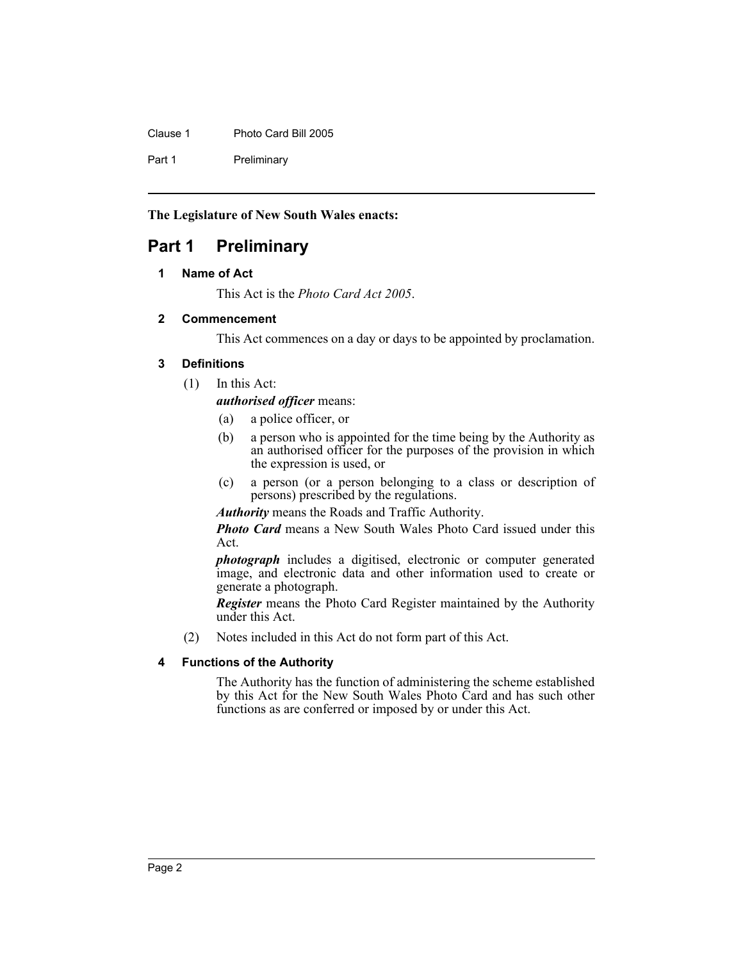Clause 1 Photo Card Bill 2005

Part 1 Preliminary

**The Legislature of New South Wales enacts:**

## **Part 1 Preliminary**

## **1 Name of Act**

This Act is the *Photo Card Act 2005*.

## **2 Commencement**

This Act commences on a day or days to be appointed by proclamation.

## **3 Definitions**

(1) In this Act:

*authorised officer* means:

- (a) a police officer, or
- (b) a person who is appointed for the time being by the Authority as an authorised officer for the purposes of the provision in which the expression is used, or
- (c) a person (or a person belonging to a class or description of persons) prescribed by the regulations.

*Authority* means the Roads and Traffic Authority.

*Photo Card* means a New South Wales Photo Card issued under this Act.

*photograph* includes a digitised, electronic or computer generated image, and electronic data and other information used to create or generate a photograph.

*Register* means the Photo Card Register maintained by the Authority under this Act.

(2) Notes included in this Act do not form part of this Act.

## **4 Functions of the Authority**

The Authority has the function of administering the scheme established by this Act for the New South Wales Photo Card and has such other functions as are conferred or imposed by or under this Act.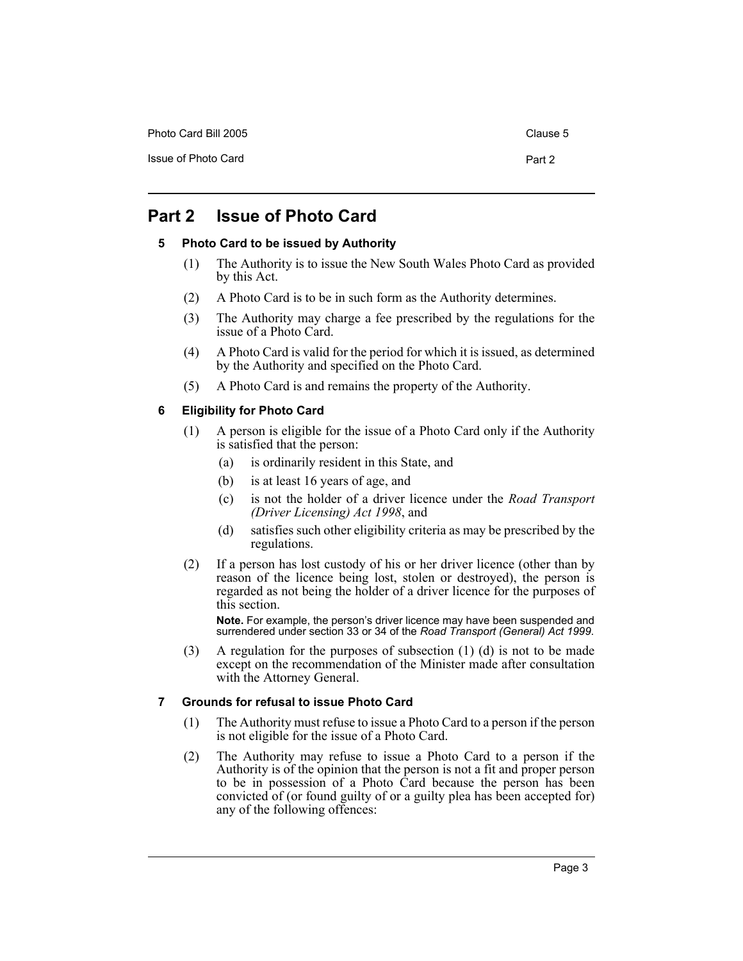Photo Card Bill 2005 Clause 5

## **Part 2 Issue of Photo Card**

## **5 Photo Card to be issued by Authority**

- (1) The Authority is to issue the New South Wales Photo Card as provided by this Act.
- (2) A Photo Card is to be in such form as the Authority determines.
- (3) The Authority may charge a fee prescribed by the regulations for the issue of a Photo Card.
- (4) A Photo Card is valid for the period for which it is issued, as determined by the Authority and specified on the Photo Card.
- (5) A Photo Card is and remains the property of the Authority.

## **6 Eligibility for Photo Card**

- (1) A person is eligible for the issue of a Photo Card only if the Authority is satisfied that the person:
	- (a) is ordinarily resident in this State, and
	- (b) is at least 16 years of age, and
	- (c) is not the holder of a driver licence under the *Road Transport (Driver Licensing) Act 1998*, and
	- (d) satisfies such other eligibility criteria as may be prescribed by the regulations.
- (2) If a person has lost custody of his or her driver licence (other than by reason of the licence being lost, stolen or destroyed), the person is regarded as not being the holder of a driver licence for the purposes of this section.

**Note.** For example, the person's driver licence may have been suspended and surrendered under section 33 or 34 of the *Road Transport (General) Act 1999*.

(3) A regulation for the purposes of subsection (1) (d) is not to be made except on the recommendation of the Minister made after consultation with the Attorney General.

## **7 Grounds for refusal to issue Photo Card**

- (1) The Authority must refuse to issue a Photo Card to a person if the person is not eligible for the issue of a Photo Card.
- (2) The Authority may refuse to issue a Photo Card to a person if the Authority is of the opinion that the person is not a fit and proper person to be in possession of a Photo Card because the person has been convicted of (or found guilty of or a guilty plea has been accepted for) any of the following offences: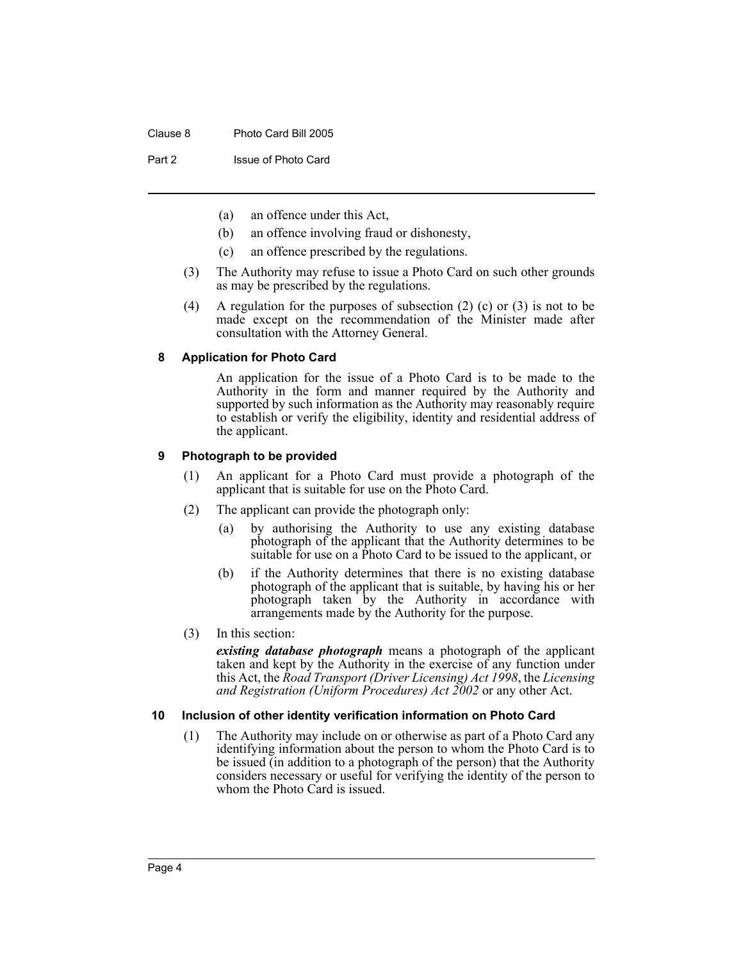Part 2 **Issue of Photo Card** 

- (a) an offence under this Act,
- (b) an offence involving fraud or dishonesty,
- (c) an offence prescribed by the regulations.
- (3) The Authority may refuse to issue a Photo Card on such other grounds as may be prescribed by the regulations.
- (4) A regulation for the purposes of subsection (2) (c) or (3) is not to be made except on the recommendation of the Minister made after consultation with the Attorney General.

## **8 Application for Photo Card**

An application for the issue of a Photo Card is to be made to the Authority in the form and manner required by the Authority and supported by such information as the Authority may reasonably require to establish or verify the eligibility, identity and residential address of the applicant.

## **9 Photograph to be provided**

- (1) An applicant for a Photo Card must provide a photograph of the applicant that is suitable for use on the Photo Card.
- (2) The applicant can provide the photograph only:
	- (a) by authorising the Authority to use any existing database photograph of the applicant that the Authority determines to be suitable for use on a Photo Card to be issued to the applicant, or
	- (b) if the Authority determines that there is no existing database photograph of the applicant that is suitable, by having his or her photograph taken by the Authority in accordance with arrangements made by the Authority for the purpose.
- (3) In this section:

*existing database photograph* means a photograph of the applicant taken and kept by the Authority in the exercise of any function under this Act, the *Road Transport (Driver Licensing) Act 1998*, the *Licensing and Registration (Uniform Procedures) Act 2002* or any other Act.

#### **10 Inclusion of other identity verification information on Photo Card**

(1) The Authority may include on or otherwise as part of a Photo Card any identifying information about the person to whom the Photo Card is to be issued (in addition to a photograph of the person) that the Authority considers necessary or useful for verifying the identity of the person to whom the Photo Card is issued.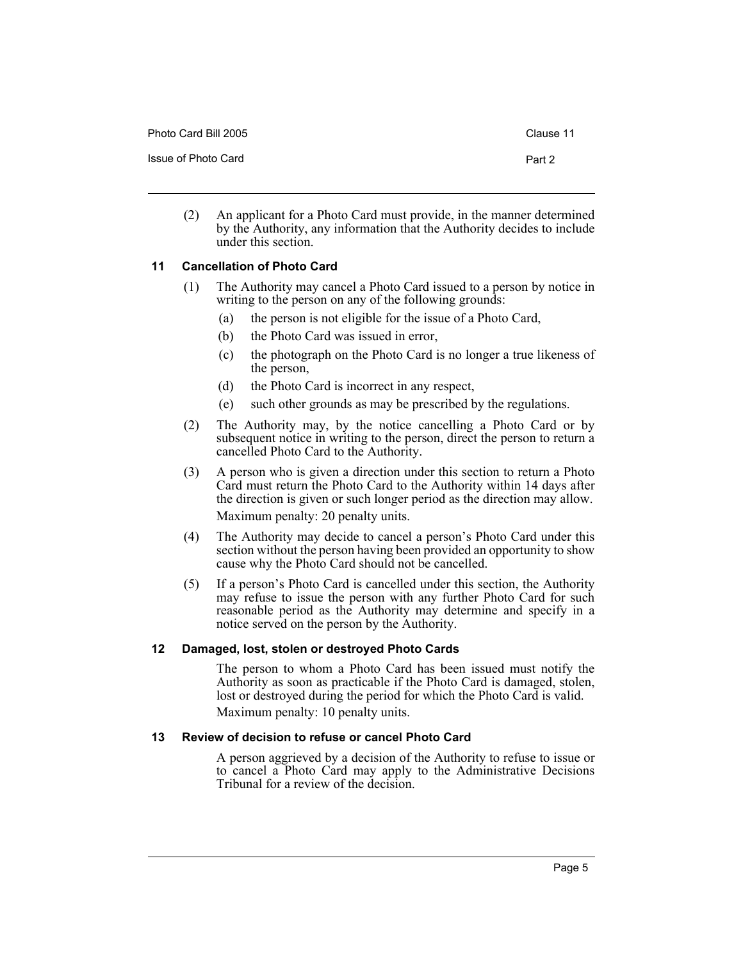| Photo Card Bill 2005 | Clause 11 |
|----------------------|-----------|
| Issue of Photo Card  | Part 2    |

(2) An applicant for a Photo Card must provide, in the manner determined by the Authority, any information that the Authority decides to include under this section.

## **11 Cancellation of Photo Card**

- (1) The Authority may cancel a Photo Card issued to a person by notice in writing to the person on any of the following grounds:
	- (a) the person is not eligible for the issue of a Photo Card,
	- (b) the Photo Card was issued in error,
	- (c) the photograph on the Photo Card is no longer a true likeness of the person,
	- (d) the Photo Card is incorrect in any respect,
	- (e) such other grounds as may be prescribed by the regulations.
- (2) The Authority may, by the notice cancelling a Photo Card or by subsequent notice in writing to the person, direct the person to return a cancelled Photo Card to the Authority.
- (3) A person who is given a direction under this section to return a Photo Card must return the Photo Card to the Authority within 14 days after the direction is given or such longer period as the direction may allow. Maximum penalty: 20 penalty units.
- (4) The Authority may decide to cancel a person's Photo Card under this section without the person having been provided an opportunity to show cause why the Photo Card should not be cancelled.
- (5) If a person's Photo Card is cancelled under this section, the Authority may refuse to issue the person with any further Photo Card for such reasonable period as the Authority may determine and specify in a notice served on the person by the Authority.

## **12 Damaged, lost, stolen or destroyed Photo Cards**

The person to whom a Photo Card has been issued must notify the Authority as soon as practicable if the Photo Card is damaged, stolen, lost or destroyed during the period for which the Photo Card is valid. Maximum penalty: 10 penalty units.

## **13 Review of decision to refuse or cancel Photo Card**

A person aggrieved by a decision of the Authority to refuse to issue or to cancel a Photo Card may apply to the Administrative Decisions Tribunal for a review of the decision.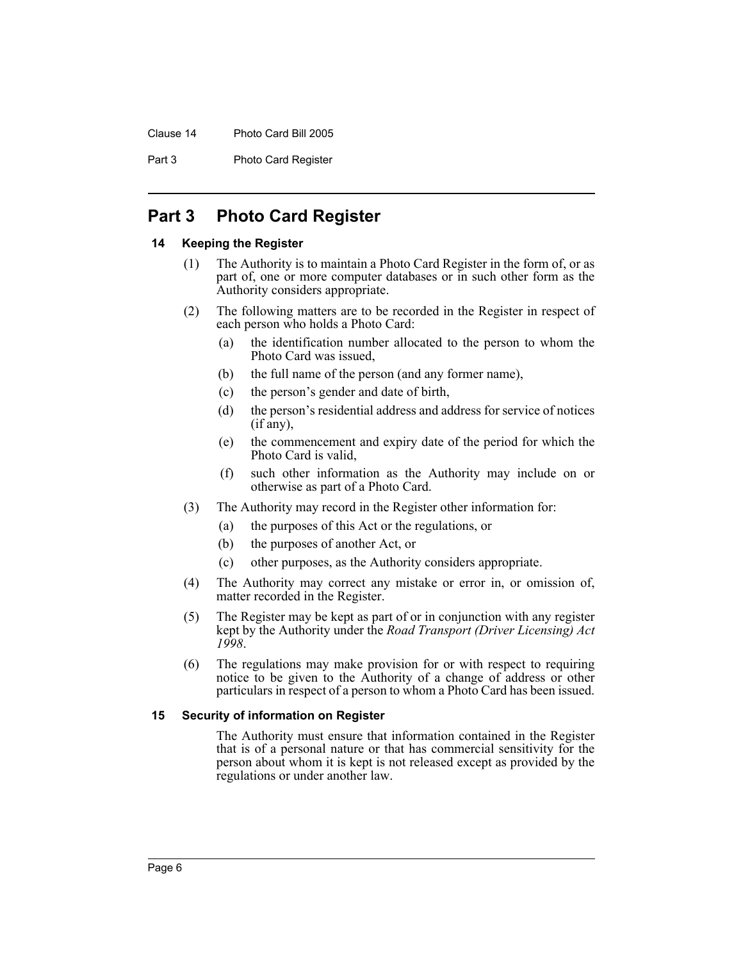## Clause 14 Photo Card Bill 2005

Part 3 Photo Card Register

## **Part 3 Photo Card Register**

## **14 Keeping the Register**

- (1) The Authority is to maintain a Photo Card Register in the form of, or as part of, one or more computer databases or in such other form as the Authority considers appropriate.
- (2) The following matters are to be recorded in the Register in respect of each person who holds a Photo Card:
	- (a) the identification number allocated to the person to whom the Photo Card was issued,
	- (b) the full name of the person (and any former name),
	- (c) the person's gender and date of birth,
	- (d) the person's residential address and address for service of notices (if any),
	- (e) the commencement and expiry date of the period for which the Photo Card is valid,
	- (f) such other information as the Authority may include on or otherwise as part of a Photo Card.
- (3) The Authority may record in the Register other information for:
	- (a) the purposes of this Act or the regulations, or
	- (b) the purposes of another Act, or
	- (c) other purposes, as the Authority considers appropriate.
- (4) The Authority may correct any mistake or error in, or omission of, matter recorded in the Register.
- (5) The Register may be kept as part of or in conjunction with any register kept by the Authority under the *Road Transport (Driver Licensing) Act 1998*.
- (6) The regulations may make provision for or with respect to requiring notice to be given to the Authority of a change of address or other particulars in respect of a person to whom a Photo Card has been issued.

#### **15 Security of information on Register**

The Authority must ensure that information contained in the Register that is of a personal nature or that has commercial sensitivity for the person about whom it is kept is not released except as provided by the regulations or under another law.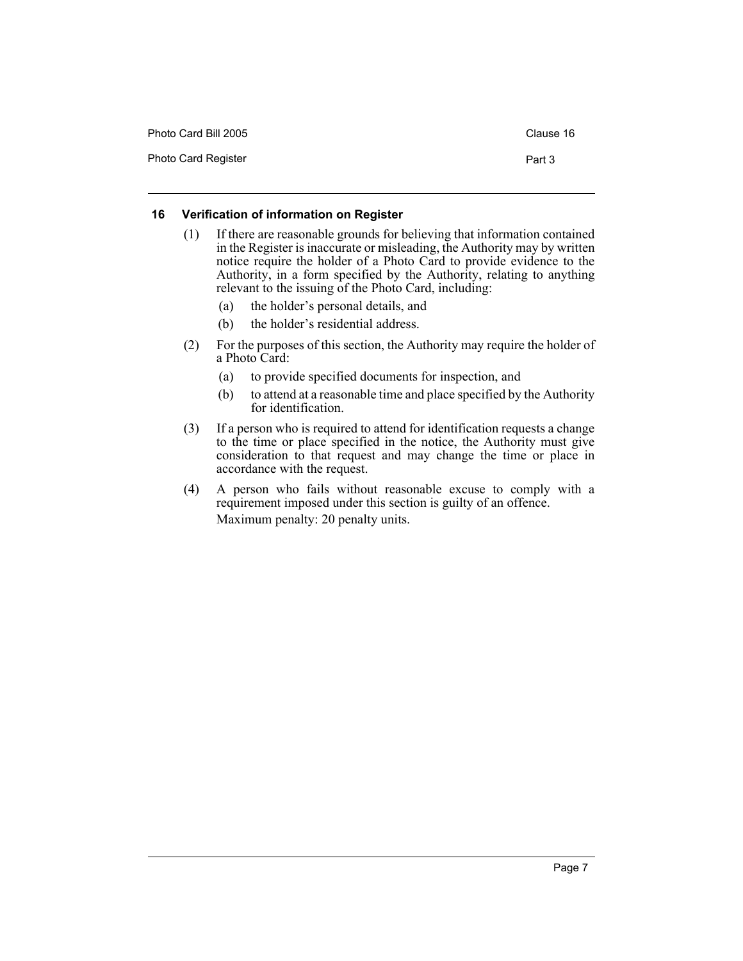| Photo Card Bill 2005       | Clause 16 |
|----------------------------|-----------|
| <b>Photo Card Register</b> | Part 3    |

## **16 Verification of information on Register**

- (1) If there are reasonable grounds for believing that information contained in the Register is inaccurate or misleading, the Authority may by written notice require the holder of a Photo Card to provide evidence to the Authority, in a form specified by the Authority, relating to anything relevant to the issuing of the Photo Card, including:
	- (a) the holder's personal details, and
	- (b) the holder's residential address.
- (2) For the purposes of this section, the Authority may require the holder of a Photo Card:
	- (a) to provide specified documents for inspection, and
	- (b) to attend at a reasonable time and place specified by the Authority for identification.
- (3) If a person who is required to attend for identification requests a change to the time or place specified in the notice, the Authority must give consideration to that request and may change the time or place in accordance with the request.
- (4) A person who fails without reasonable excuse to comply with a requirement imposed under this section is guilty of an offence. Maximum penalty: 20 penalty units.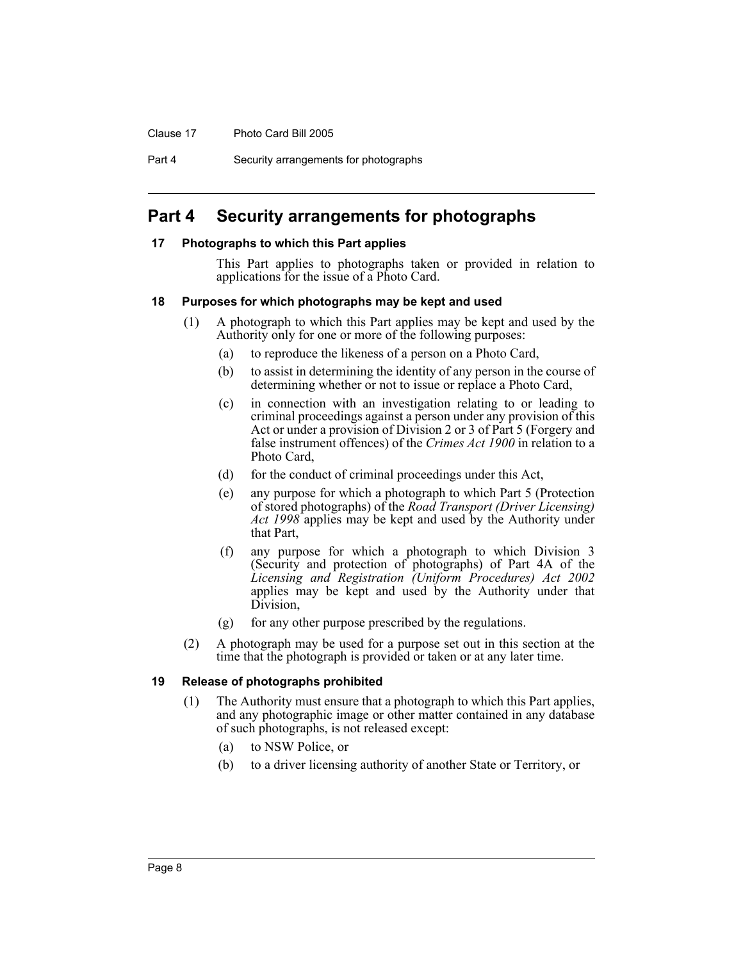Clause 17 Photo Card Bill 2005

Part 4 Security arrangements for photographs

## **Part 4 Security arrangements for photographs**

## **17 Photographs to which this Part applies**

This Part applies to photographs taken or provided in relation to applications for the issue of a Photo Card.

## **18 Purposes for which photographs may be kept and used**

- (1) A photograph to which this Part applies may be kept and used by the Authority only for one or more of the following purposes:
	- (a) to reproduce the likeness of a person on a Photo Card,
	- (b) to assist in determining the identity of any person in the course of determining whether or not to issue or replace a Photo Card,
	- (c) in connection with an investigation relating to or leading to criminal proceedings against a person under any provision of this Act or under a provision of Division 2 or 3 of Part 5 (Forgery and false instrument offences) of the *Crimes Act 1900* in relation to a Photo Card,
	- (d) for the conduct of criminal proceedings under this Act,
	- (e) any purpose for which a photograph to which Part 5 (Protection of stored photographs) of the *Road Transport (Driver Licensing) Act 1998* applies may be kept and used by the Authority under that Part,
	- (f) any purpose for which a photograph to which Division 3 (Security and protection of photographs) of Part 4A of the *Licensing and Registration (Uniform Procedures) Act 2002* applies may be kept and used by the Authority under that Division,
	- (g) for any other purpose prescribed by the regulations.
- (2) A photograph may be used for a purpose set out in this section at the time that the photograph is provided or taken or at any later time.

#### **19 Release of photographs prohibited**

- (1) The Authority must ensure that a photograph to which this Part applies, and any photographic image or other matter contained in any database of such photographs, is not released except:
	- (a) to NSW Police, or
	- (b) to a driver licensing authority of another State or Territory, or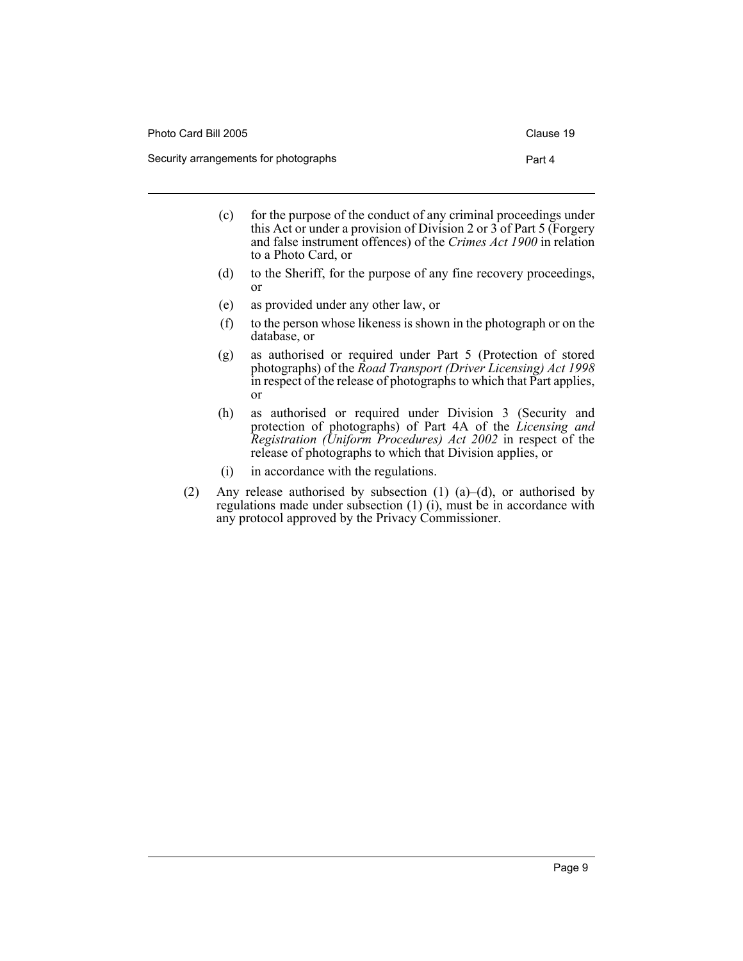Photo Card Bill 2005 Clause 19 Security arrangements for photographs **Part 4** 

- (c) for the purpose of the conduct of any criminal proceedings under this Act or under a provision of Division 2 or 3 of Part 5 (Forgery and false instrument offences) of the *Crimes Act 1900* in relation to a Photo Card, or
- (d) to the Sheriff, for the purpose of any fine recovery proceedings, or
- (e) as provided under any other law, or
- (f) to the person whose likeness is shown in the photograph or on the database, or
- (g) as authorised or required under Part 5 (Protection of stored photographs) of the *Road Transport (Driver Licensing) Act 1998* in respect of the release of photographs to which that Part applies, or
- (h) as authorised or required under Division 3 (Security and protection of photographs) of Part 4A of the *Licensing and Registration (Uniform Procedures) Act 2002* in respect of the release of photographs to which that Division applies, or
- (i) in accordance with the regulations.
- (2) Any release authorised by subsection (1) (a)–(d), or authorised by regulations made under subsection (1) (i), must be in accordance with any protocol approved by the Privacy Commissioner.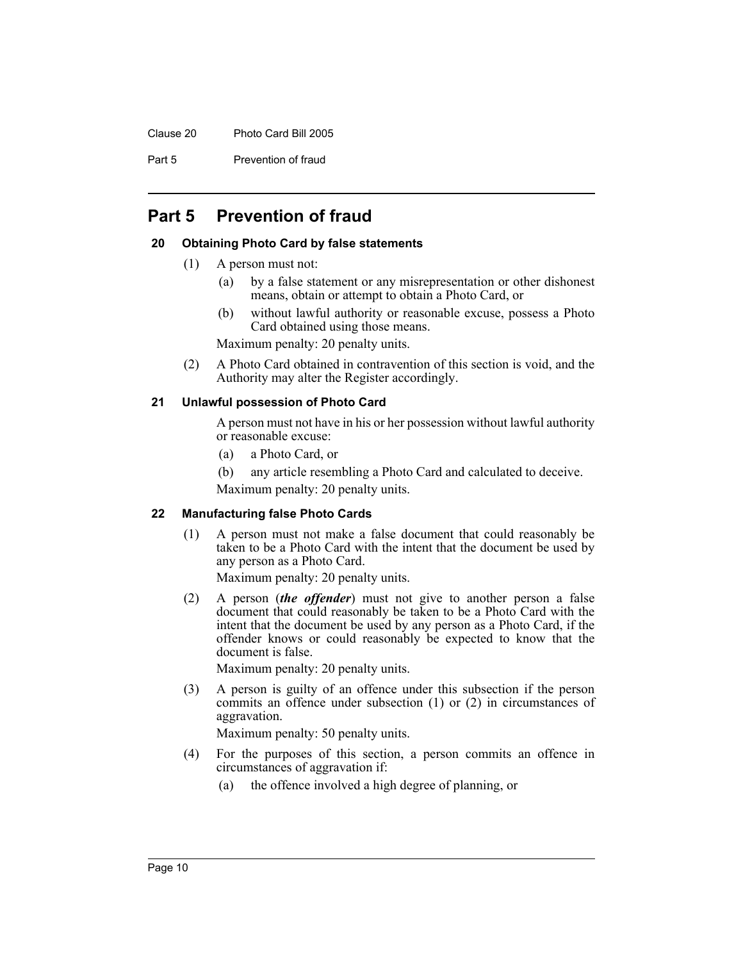Clause 20 Photo Card Bill 2005

Part 5 Prevention of fraud

## **Part 5 Prevention of fraud**

## **20 Obtaining Photo Card by false statements**

- (1) A person must not:
	- (a) by a false statement or any misrepresentation or other dishonest means, obtain or attempt to obtain a Photo Card, or
	- (b) without lawful authority or reasonable excuse, possess a Photo Card obtained using those means.

Maximum penalty: 20 penalty units.

(2) A Photo Card obtained in contravention of this section is void, and the Authority may alter the Register accordingly.

#### **21 Unlawful possession of Photo Card**

A person must not have in his or her possession without lawful authority or reasonable excuse:

- (a) a Photo Card, or
- (b) any article resembling a Photo Card and calculated to deceive. Maximum penalty: 20 penalty units.

## **22 Manufacturing false Photo Cards**

(1) A person must not make a false document that could reasonably be taken to be a Photo Card with the intent that the document be used by any person as a Photo Card.

Maximum penalty: 20 penalty units.

(2) A person (*the offender*) must not give to another person a false document that could reasonably be taken to be a Photo Card with the intent that the document be used by any person as a Photo Card, if the offender knows or could reasonably be expected to know that the document is false.

Maximum penalty: 20 penalty units.

(3) A person is guilty of an offence under this subsection if the person commits an offence under subsection (1) or (2) in circumstances of aggravation.

Maximum penalty: 50 penalty units.

- (4) For the purposes of this section, a person commits an offence in circumstances of aggravation if:
	- (a) the offence involved a high degree of planning, or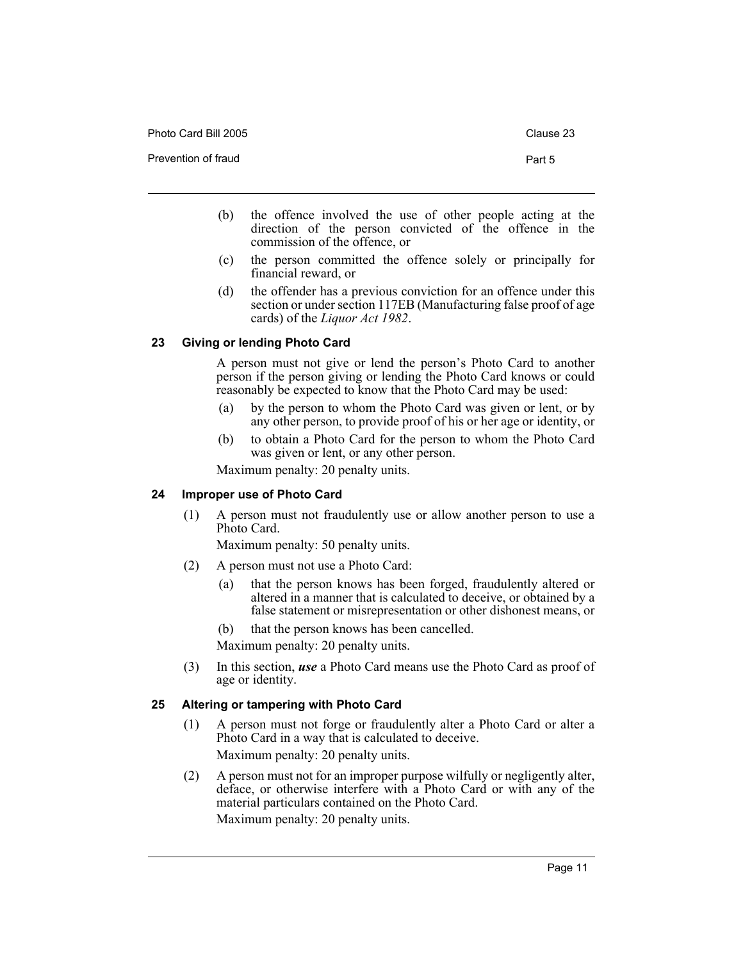Photo Card Bill 2005 Clause 23 Prevention of fraud **Part 5** 

- (b) the offence involved the use of other people acting at the direction of the person convicted of the offence in the commission of the offence, or
- (c) the person committed the offence solely or principally for financial reward, or
- (d) the offender has a previous conviction for an offence under this section or under section 117EB (Manufacturing false proof of age cards) of the *Liquor Act 1982*.

## **23 Giving or lending Photo Card**

A person must not give or lend the person's Photo Card to another person if the person giving or lending the Photo Card knows or could reasonably be expected to know that the Photo Card may be used:

- (a) by the person to whom the Photo Card was given or lent, or by any other person, to provide proof of his or her age or identity, or
- (b) to obtain a Photo Card for the person to whom the Photo Card was given or lent, or any other person.

Maximum penalty: 20 penalty units.

## **24 Improper use of Photo Card**

(1) A person must not fraudulently use or allow another person to use a Photo Card.

Maximum penalty: 50 penalty units.

- (2) A person must not use a Photo Card:
	- (a) that the person knows has been forged, fraudulently altered or altered in a manner that is calculated to deceive, or obtained by a false statement or misrepresentation or other dishonest means, or
	- (b) that the person knows has been cancelled.

Maximum penalty: 20 penalty units.

(3) In this section, *use* a Photo Card means use the Photo Card as proof of age or identity.

## **25 Altering or tampering with Photo Card**

- (1) A person must not forge or fraudulently alter a Photo Card or alter a Photo Card in a way that is calculated to deceive. Maximum penalty: 20 penalty units.
- (2) A person must not for an improper purpose wilfully or negligently alter, deface, or otherwise interfere with a Photo Card or with any of the material particulars contained on the Photo Card. Maximum penalty: 20 penalty units.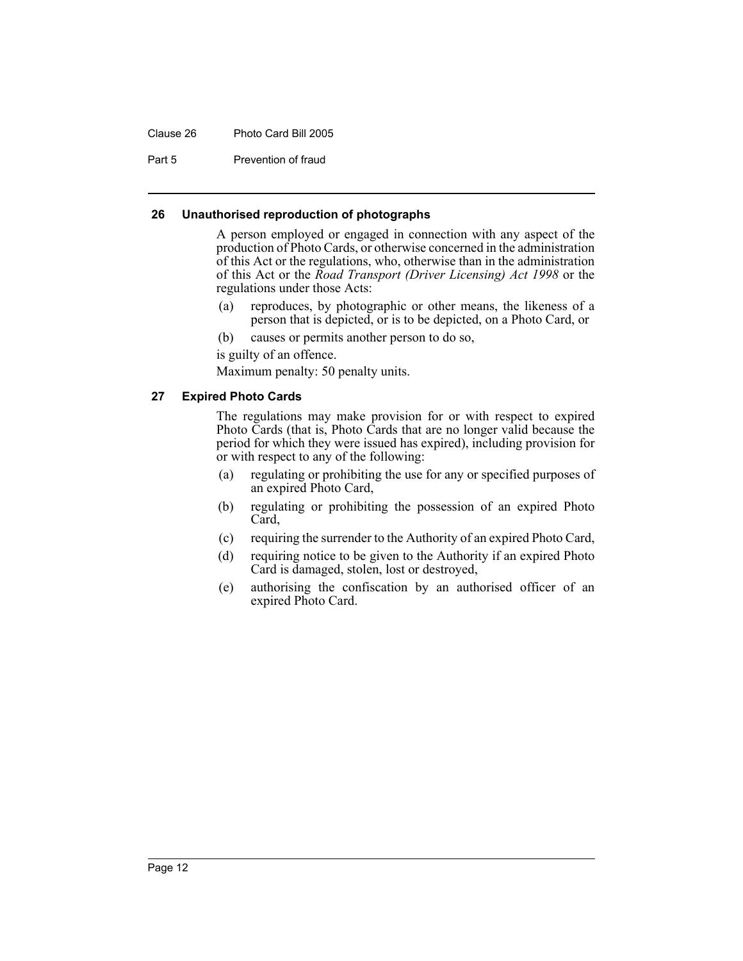## Clause 26 Photo Card Bill 2005

Part 5 Prevention of fraud

### **26 Unauthorised reproduction of photographs**

A person employed or engaged in connection with any aspect of the production of Photo Cards, or otherwise concerned in the administration of this Act or the regulations, who, otherwise than in the administration of this Act or the *Road Transport (Driver Licensing) Act 1998* or the regulations under those Acts:

- (a) reproduces, by photographic or other means, the likeness of a person that is depicted, or is to be depicted, on a Photo Card, or
- (b) causes or permits another person to do so,
- is guilty of an offence.

Maximum penalty: 50 penalty units.

## **27 Expired Photo Cards**

The regulations may make provision for or with respect to expired Photo Cards (that is, Photo Cards that are no longer valid because the period for which they were issued has expired), including provision for or with respect to any of the following:

- (a) regulating or prohibiting the use for any or specified purposes of an expired Photo Card,
- (b) regulating or prohibiting the possession of an expired Photo Card,
- (c) requiring the surrender to the Authority of an expired Photo Card,
- (d) requiring notice to be given to the Authority if an expired Photo Card is damaged, stolen, lost or destroyed,
- (e) authorising the confiscation by an authorised officer of an expired Photo Card.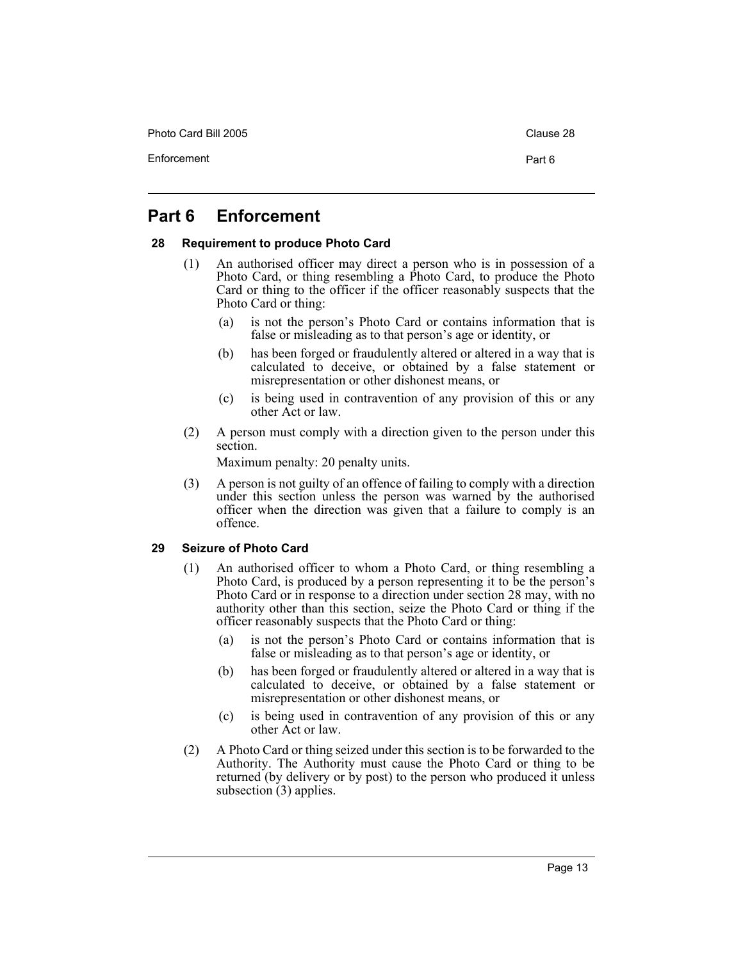Photo Card Bill 2005 Clause 28

## **Part 6 Enforcement**

## **28 Requirement to produce Photo Card**

- (1) An authorised officer may direct a person who is in possession of a Photo Card, or thing resembling a Photo Card, to produce the Photo Card or thing to the officer if the officer reasonably suspects that the Photo Card or thing:
	- (a) is not the person's Photo Card or contains information that is false or misleading as to that person's age or identity, or
	- (b) has been forged or fraudulently altered or altered in a way that is calculated to deceive, or obtained by a false statement or misrepresentation or other dishonest means, or
	- (c) is being used in contravention of any provision of this or any other Act or law.
- (2) A person must comply with a direction given to the person under this section.

Maximum penalty: 20 penalty units.

(3) A person is not guilty of an offence of failing to comply with a direction under this section unless the person was warned by the authorised officer when the direction was given that a failure to comply is an offence.

## **29 Seizure of Photo Card**

- (1) An authorised officer to whom a Photo Card, or thing resembling a Photo Card, is produced by a person representing it to be the person's Photo Card or in response to a direction under section 28 may, with no authority other than this section, seize the Photo Card or thing if the officer reasonably suspects that the Photo Card or thing:
	- (a) is not the person's Photo Card or contains information that is false or misleading as to that person's age or identity, or
	- (b) has been forged or fraudulently altered or altered in a way that is calculated to deceive, or obtained by a false statement or misrepresentation or other dishonest means, or
	- (c) is being used in contravention of any provision of this or any other Act or law.
- (2) A Photo Card or thing seized under this section is to be forwarded to the Authority. The Authority must cause the Photo Card or thing to be returned (by delivery or by post) to the person who produced it unless subsection (3) applies.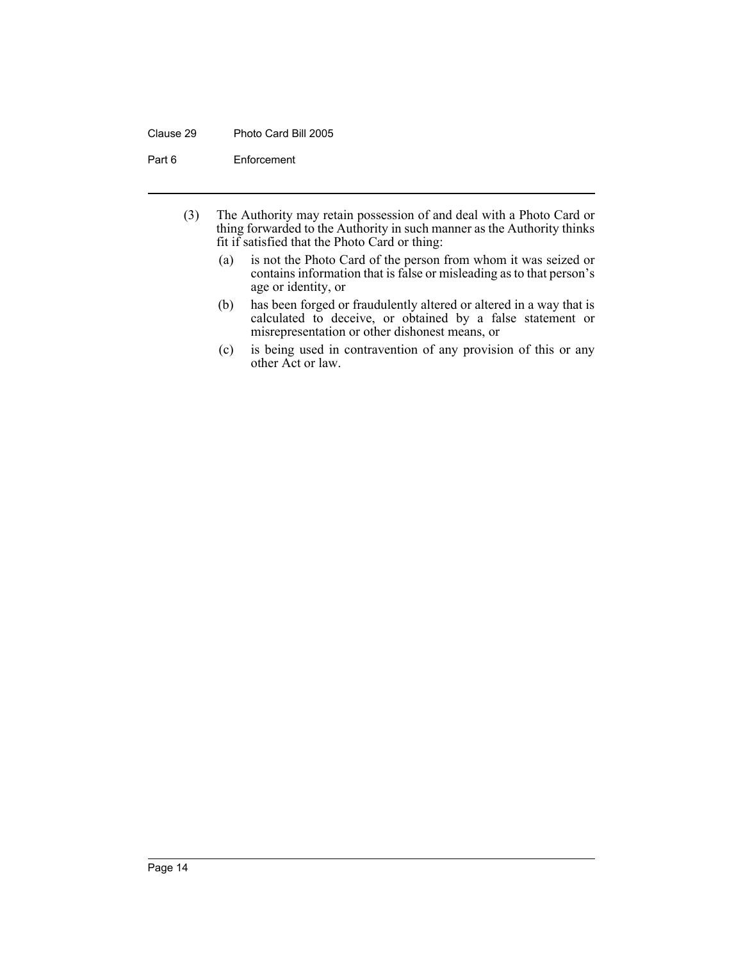## Clause 29 Photo Card Bill 2005

Part 6 Enforcement

- (3) The Authority may retain possession of and deal with a Photo Card or thing forwarded to the Authority in such manner as the Authority thinks fit if satisfied that the Photo Card or thing:
	- (a) is not the Photo Card of the person from whom it was seized or contains information that is false or misleading as to that person's age or identity, or
	- (b) has been forged or fraudulently altered or altered in a way that is calculated to deceive, or obtained by a false statement or misrepresentation or other dishonest means, or
	- (c) is being used in contravention of any provision of this or any other Act or law.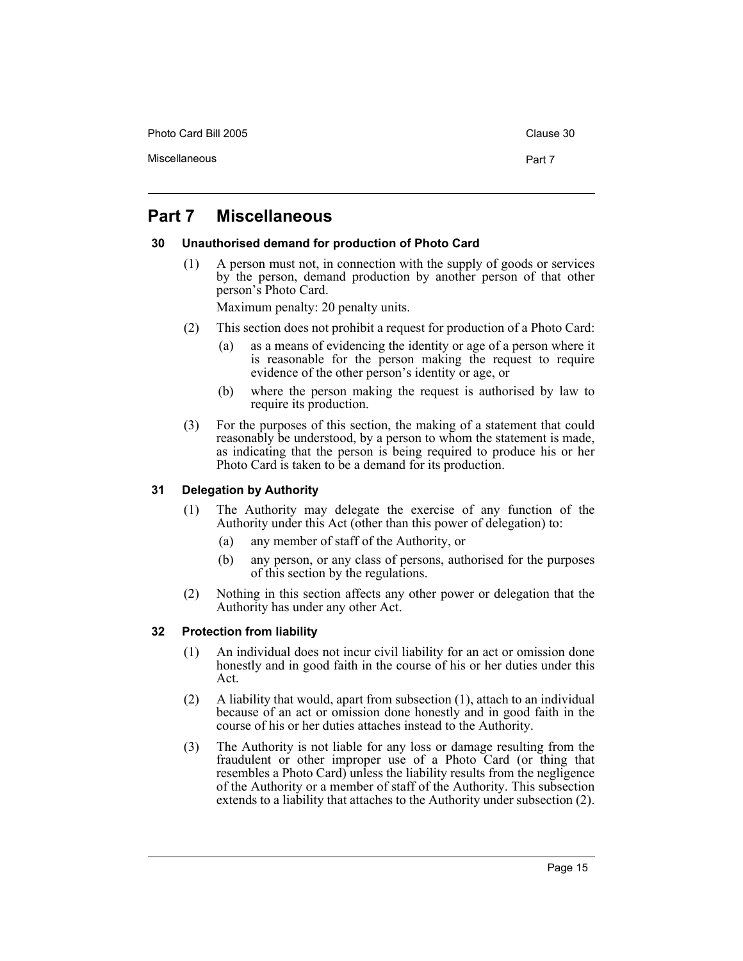Photo Card Bill 2005 Clause 30

## **Part 7 Miscellaneous**

## **30 Unauthorised demand for production of Photo Card**

(1) A person must not, in connection with the supply of goods or services by the person, demand production by another person of that other person's Photo Card.

Maximum penalty: 20 penalty units.

- (2) This section does not prohibit a request for production of a Photo Card:
	- (a) as a means of evidencing the identity or age of a person where it is reasonable for the person making the request to require evidence of the other person's identity or age, or
	- (b) where the person making the request is authorised by law to require its production.
- (3) For the purposes of this section, the making of a statement that could reasonably be understood, by a person to whom the statement is made, as indicating that the person is being required to produce his or her Photo Card is taken to be a demand for its production.

## **31 Delegation by Authority**

- (1) The Authority may delegate the exercise of any function of the Authority under this Act (other than this power of delegation) to:
	- (a) any member of staff of the Authority, or
	- (b) any person, or any class of persons, authorised for the purposes of this section by the regulations.
- (2) Nothing in this section affects any other power or delegation that the Authority has under any other Act.

## **32 Protection from liability**

- (1) An individual does not incur civil liability for an act or omission done honestly and in good faith in the course of his or her duties under this Act.
- (2) A liability that would, apart from subsection (1), attach to an individual because of an act or omission done honestly and in good faith in the course of his or her duties attaches instead to the Authority.
- (3) The Authority is not liable for any loss or damage resulting from the fraudulent or other improper use of a Photo Card (or thing that resembles a Photo Card) unless the liability results from the negligence of the Authority or a member of staff of the Authority. This subsection extends to a liability that attaches to the Authority under subsection (2).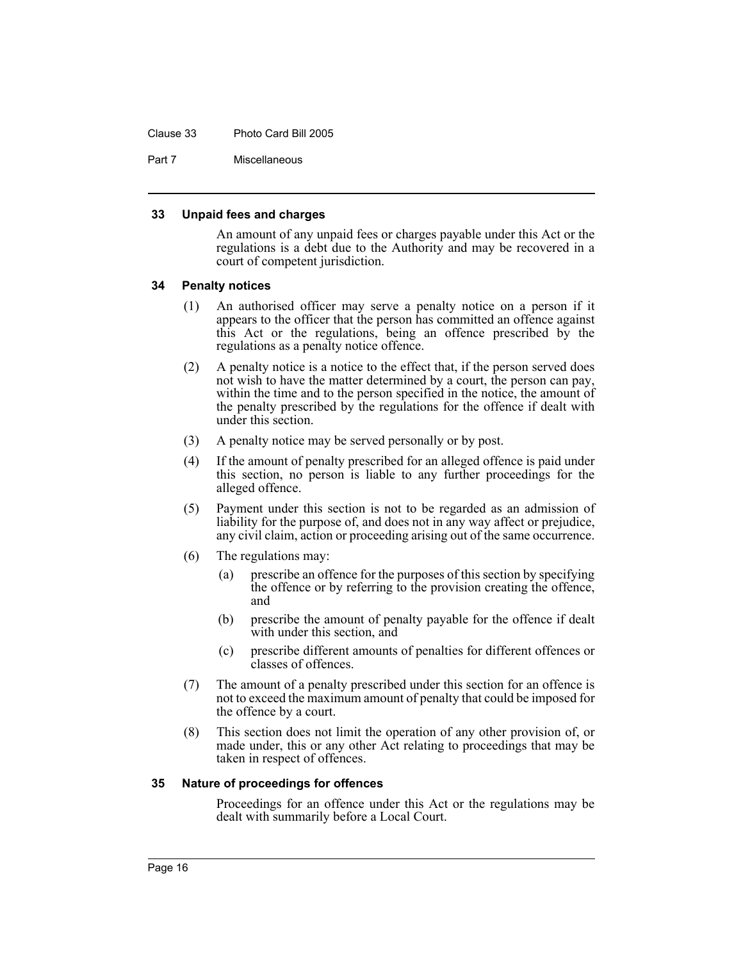#### Clause 33 Photo Card Bill 2005

Part 7 Miscellaneous

#### **33 Unpaid fees and charges**

An amount of any unpaid fees or charges payable under this Act or the regulations is a debt due to the Authority and may be recovered in a court of competent jurisdiction.

#### **34 Penalty notices**

- (1) An authorised officer may serve a penalty notice on a person if it appears to the officer that the person has committed an offence against this Act or the regulations, being an offence prescribed by the regulations as a penalty notice offence.
- (2) A penalty notice is a notice to the effect that, if the person served does not wish to have the matter determined by a court, the person can pay, within the time and to the person specified in the notice, the amount of the penalty prescribed by the regulations for the offence if dealt with under this section.
- (3) A penalty notice may be served personally or by post.
- (4) If the amount of penalty prescribed for an alleged offence is paid under this section, no person is liable to any further proceedings for the alleged offence.
- (5) Payment under this section is not to be regarded as an admission of liability for the purpose of, and does not in any way affect or prejudice, any civil claim, action or proceeding arising out of the same occurrence.
- (6) The regulations may:
	- (a) prescribe an offence for the purposes of this section by specifying the offence or by referring to the provision creating the offence, and
	- (b) prescribe the amount of penalty payable for the offence if dealt with under this section, and
	- (c) prescribe different amounts of penalties for different offences or classes of offences.
- (7) The amount of a penalty prescribed under this section for an offence is not to exceed the maximum amount of penalty that could be imposed for the offence by a court.
- (8) This section does not limit the operation of any other provision of, or made under, this or any other Act relating to proceedings that may be taken in respect of offences.

#### **35 Nature of proceedings for offences**

Proceedings for an offence under this Act or the regulations may be dealt with summarily before a Local Court.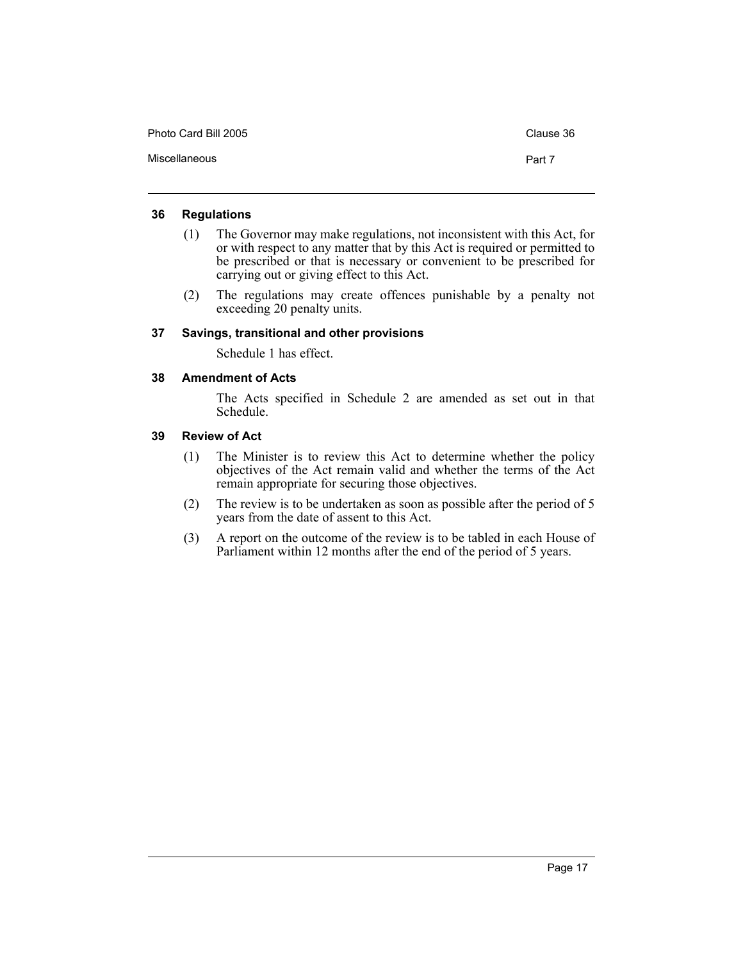| Photo Card Bill 2005 | Clause 36 |
|----------------------|-----------|
| Miscellaneous        | Part 7    |

## **36 Regulations**

- (1) The Governor may make regulations, not inconsistent with this Act, for or with respect to any matter that by this Act is required or permitted to be prescribed or that is necessary or convenient to be prescribed for carrying out or giving effect to this Act.
- (2) The regulations may create offences punishable by a penalty not exceeding 20 penalty units.

## **37 Savings, transitional and other provisions**

Schedule 1 has effect.

## **38 Amendment of Acts**

The Acts specified in Schedule 2 are amended as set out in that Schedule.

## **39 Review of Act**

- (1) The Minister is to review this Act to determine whether the policy objectives of the Act remain valid and whether the terms of the Act remain appropriate for securing those objectives.
- (2) The review is to be undertaken as soon as possible after the period of 5 years from the date of assent to this Act.
- (3) A report on the outcome of the review is to be tabled in each House of Parliament within 12 months after the end of the period of 5 years.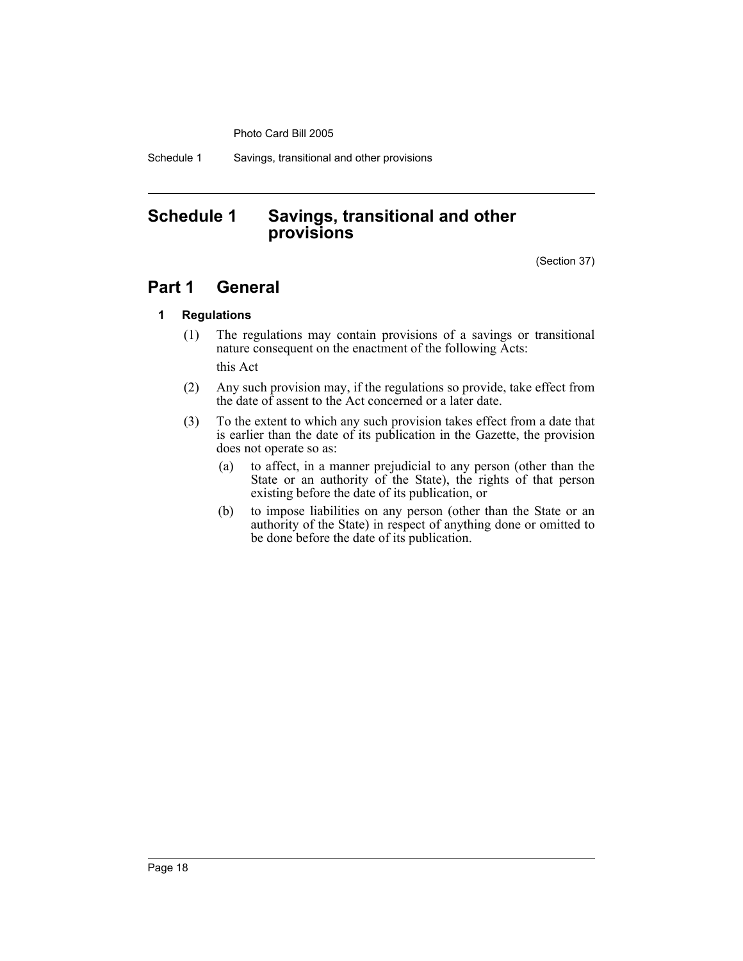Schedule 1 Savings, transitional and other provisions

## **Schedule 1 Savings, transitional and other provisions**

(Section 37)

## **Part 1 General**

## **1 Regulations**

- (1) The regulations may contain provisions of a savings or transitional nature consequent on the enactment of the following Acts: this Act
- (2) Any such provision may, if the regulations so provide, take effect from the date of assent to the Act concerned or a later date.
- (3) To the extent to which any such provision takes effect from a date that is earlier than the date of its publication in the Gazette, the provision does not operate so as:
	- (a) to affect, in a manner prejudicial to any person (other than the State or an authority of the State), the rights of that person existing before the date of its publication, or
	- (b) to impose liabilities on any person (other than the State or an authority of the State) in respect of anything done or omitted to be done before the date of its publication.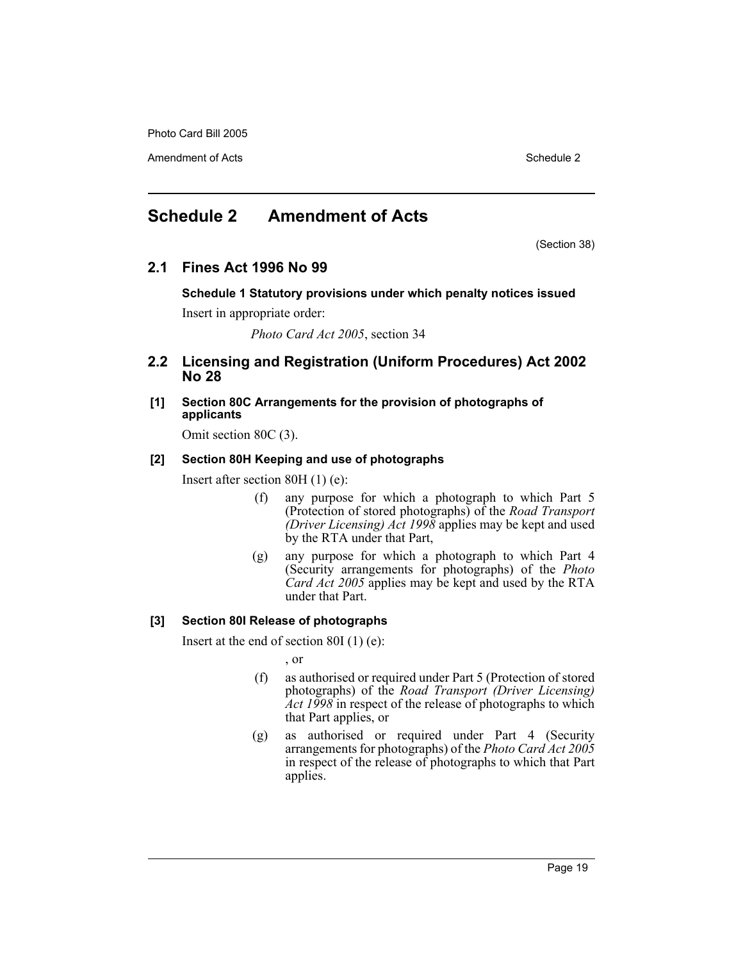Amendment of Acts **Schedule 2** and the 2

## **Schedule 2 Amendment of Acts**

(Section 38)

## **2.1 Fines Act 1996 No 99**

**Schedule 1 Statutory provisions under which penalty notices issued** Insert in appropriate order:

*Photo Card Act 2005*, section 34

## **2.2 Licensing and Registration (Uniform Procedures) Act 2002 No 28**

**[1] Section 80C Arrangements for the provision of photographs of applicants**

Omit section 80C (3).

## **[2] Section 80H Keeping and use of photographs**

Insert after section 80H (1) (e):

- (f) any purpose for which a photograph to which Part 5 (Protection of stored photographs) of the *Road Transport (Driver Licensing) Act 1998* applies may be kept and used by the RTA under that Part,
- (g) any purpose for which a photograph to which Part 4 (Security arrangements for photographs) of the *Photo Card Act 2005* applies may be kept and used by the RTA under that Part.

## **[3] Section 80I Release of photographs**

Insert at the end of section 80I (1) (e):

, or

- (f) as authorised or required under Part 5 (Protection of stored photographs) of the *Road Transport (Driver Licensing) Act 1998* in respect of the release of photographs to which that Part applies, or
- (g) as authorised or required under Part 4 (Security arrangements for photographs) of the *Photo Card Act 2005* in respect of the release of photographs to which that Part applies.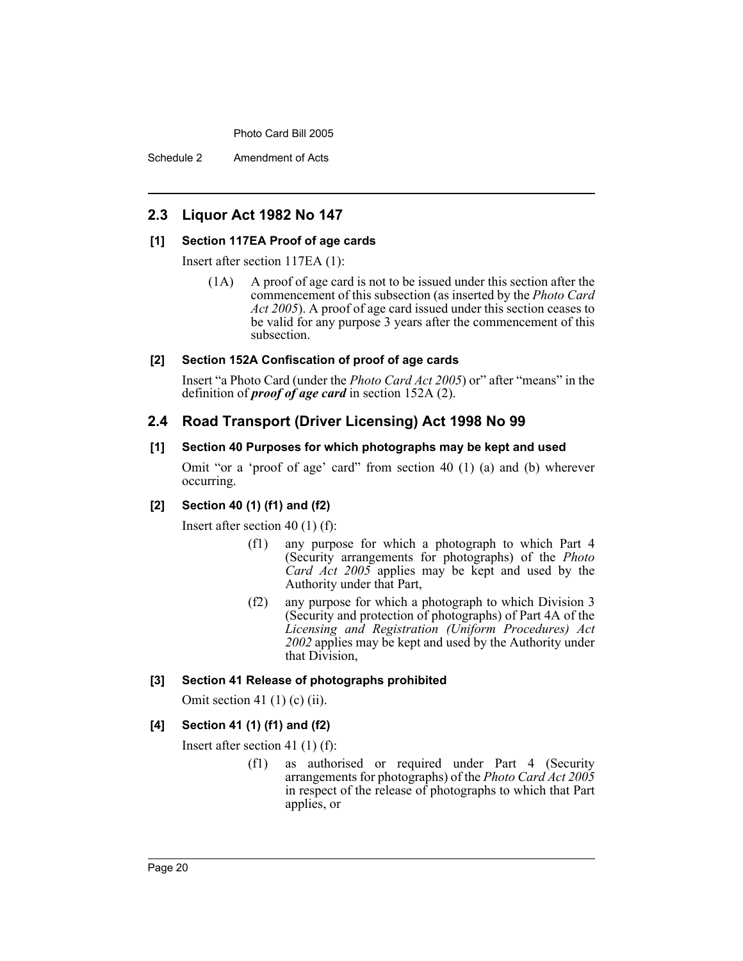Schedule 2 Amendment of Acts

## **2.3 Liquor Act 1982 No 147**

## **[1] Section 117EA Proof of age cards**

Insert after section 117EA (1):

(1A) A proof of age card is not to be issued under this section after the commencement of this subsection (as inserted by the *Photo Card Act 2005*). A proof of age card issued under this section ceases to be valid for any purpose 3 years after the commencement of this subsection.

## **[2] Section 152A Confiscation of proof of age cards**

Insert "a Photo Card (under the *Photo Card Act 2005*) or" after "means" in the definition of *proof of age card* in section 152A (2).

## **2.4 Road Transport (Driver Licensing) Act 1998 No 99**

## **[1] Section 40 Purposes for which photographs may be kept and used**

Omit "or a 'proof of age' card" from section 40 (1) (a) and (b) wherever occurring.

## **[2] Section 40 (1) (f1) and (f2)**

Insert after section 40 (1) (f):

- (f1) any purpose for which a photograph to which Part 4 (Security arrangements for photographs) of the *Photo Card Act 2005* applies may be kept and used by the Authority under that Part,
- (f2) any purpose for which a photograph to which Division 3 (Security and protection of photographs) of Part 4A of the *Licensing and Registration (Uniform Procedures) Act 2002* applies may be kept and used by the Authority under that Division,

## **[3] Section 41 Release of photographs prohibited**

Omit section 41 $(1)$  $(c)$  $(ii)$ .

## **[4] Section 41 (1) (f1) and (f2)**

Insert after section 41 (1) (f):

(f1) as authorised or required under Part 4 (Security arrangements for photographs) of the *Photo Card Act 2005* in respect of the release of photographs to which that Part applies, or